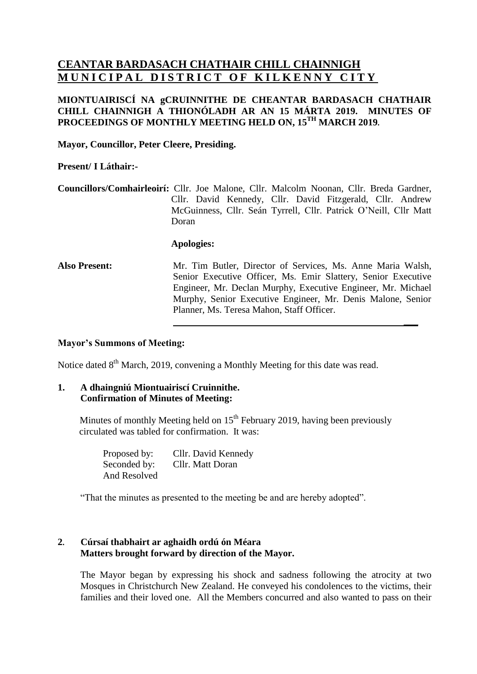# **CEANTAR BARDASACH CHATHAIR CHILL CHAINNIGH MUNICIPAL DISTRICT OF KILKENNY CITY**

# **MIONTUAIRISCÍ NA gCRUINNITHE DE CHEANTAR BARDASACH CHATHAIR CHILL CHAINNIGH A THIONÓLADH AR AN 15 MÁRTA 2019. MINUTES OF PROCEEDINGS OF MONTHLY MEETING HELD ON, 15 TH MARCH 2019.**

**Mayor, Councillor, Peter Cleere, Presiding.**

#### **Present/ I Láthair:-**

**Councillors/Comhairleoirí:** Cllr. Joe Malone, Cllr. Malcolm Noonan, Cllr. Breda Gardner, Cllr. David Kennedy, Cllr. David Fitzgerald, Cllr. Andrew McGuinness, Cllr. Seán Tyrrell, Cllr. Patrick O'Neill, Cllr Matt Doran

#### **Apologies:**

**Also Present:** Mr. Tim Butler, Director of Services, Ms. Anne Maria Walsh, Senior Executive Officer, Ms. Emir Slattery, Senior Executive Engineer, Mr. Declan Murphy, Executive Engineer, Mr. Michael Murphy, Senior Executive Engineer, Mr. Denis Malone, Senior Planner, Ms. Teresa Mahon, Staff Officer.

**\_\_\_**

## **Mayor's Summons of Meeting:**

Notice dated 8<sup>th</sup> March, 2019, convening a Monthly Meeting for this date was read.

#### **1. A dhaingniú Miontuairiscí Cruinnithe. Confirmation of Minutes of Meeting:**

Minutes of monthly Meeting held on 15<sup>th</sup> February 2019, having been previously circulated was tabled for confirmation. It was:

| Proposed by: | Cllr. David Kennedy |
|--------------|---------------------|
| Seconded by: | Cllr. Matt Doran    |
| And Resolved |                     |

"That the minutes as presented to the meeting be and are hereby adopted".

# **2. Cúrsaí thabhairt ar aghaidh ordú ón Méara Matters brought forward by direction of the Mayor.**

The Mayor began by expressing his shock and sadness following the atrocity at two Mosques in Christchurch New Zealand. He conveyed his condolences to the victims, their families and their loved one. All the Members concurred and also wanted to pass on their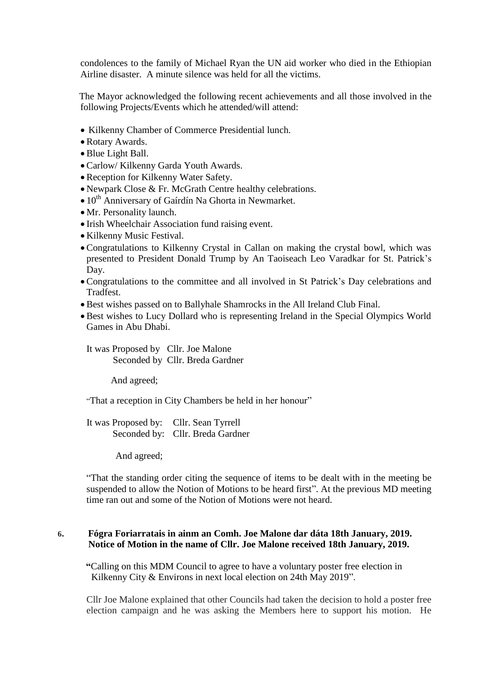condolences to the family of Michael Ryan the UN aid worker who died in the Ethiopian Airline disaster. A minute silence was held for all the victims.

 The Mayor acknowledged the following recent achievements and all those involved in the following Projects/Events which he attended/will attend:

- Kilkenny Chamber of Commerce Presidential lunch.
- Rotary Awards.
- Blue Light Ball.
- Carlow/ Kilkenny Garda Youth Awards.
- Reception for Kilkenny Water Safety.
- Newpark Close & Fr. McGrath Centre healthy celebrations.
- $\bullet$  10<sup>th</sup> Anniversary of Gaírdín Na Ghorta in Newmarket.
- Mr. Personality launch.
- Irish Wheelchair Association fund raising event.
- Kilkenny Music Festival.
- Congratulations to Kilkenny Crystal in Callan on making the crystal bowl, which was presented to President Donald Trump by An Taoiseach Leo Varadkar for St. Patrick's Day.
- Congratulations to the committee and all involved in St Patrick's Day celebrations and **Tradfest**
- Best wishes passed on to Ballyhale Shamrocks in the All Ireland Club Final.
- Best wishes to Lucy Dollard who is representing Ireland in the Special Olympics World Games in Abu Dhabi.

It was Proposed by Cllr. Joe Malone Seconded by Cllr. Breda Gardner

And agreed;

"That a reception in City Chambers be held in her honour"

 It was Proposed by: Cllr. Sean Tyrrell Seconded by: Cllr. Breda Gardner

And agreed;

"That the standing order citing the sequence of items to be dealt with in the meeting be suspended to allow the Notion of Motions to be heard first". At the previous MD meeting time ran out and some of the Notion of Motions were not heard.

## **6. Fógra Foriarratais in ainm an Comh. Joe Malone dar dáta 18th January, 2019. Notice of Motion in the name of Cllr. Joe Malone received 18th January, 2019.**

**"**Calling on this MDM Council to agree to have a voluntary poster free election in Kilkenny City & Environs in next local election on 24th May 2019".

Cllr Joe Malone explained that other Councils had taken the decision to hold a poster free election campaign and he was asking the Members here to support his motion. He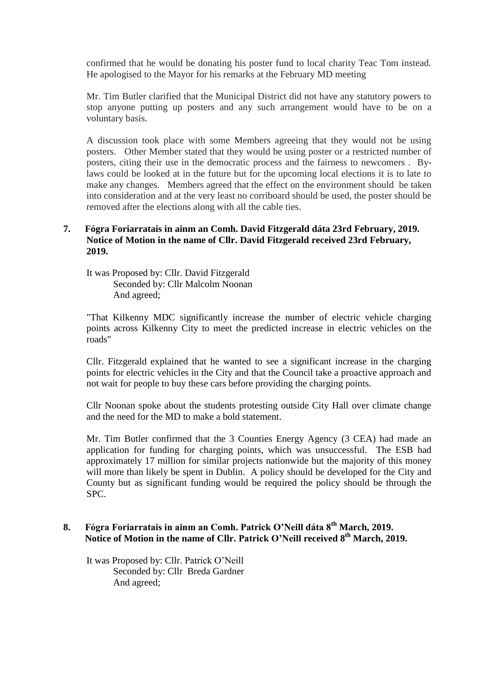confirmed that he would be donating his poster fund to local charity Teac Tom instead. He apologised to the Mayor for his remarks at the February MD meeting

Mr. Tim Butler clarified that the Municipal District did not have any statutory powers to stop anyone putting up posters and any such arrangement would have to be on a voluntary basis.

A discussion took place with some Members agreeing that they would not be using posters. Other Member stated that they would be using poster or a restricted number of posters, citing their use in the democratic process and the fairness to newcomers . Bylaws could be looked at in the future but for the upcoming local elections it is to late to make any changes. Members agreed that the effect on the environment should be taken into consideration and at the very least no corriboard should be used, the poster should be removed after the elections along with all the cable ties.

# **7. Fógra Foriarratais in ainm an Comh. David Fitzgerald dáta 23rd February, 2019. Notice of Motion in the name of Cllr. David Fitzgerald received 23rd February, 2019.**

It was Proposed by: Cllr. David Fitzgerald Seconded by: Cllr Malcolm Noonan And agreed;

"That Kilkenny MDC significantly increase the number of electric vehicle charging points across Kilkenny City to meet the predicted increase in electric vehicles on the roads"

Cllr. Fitzgerald explained that he wanted to see a significant increase in the charging points for electric vehicles in the City and that the Council take a proactive approach and not wait for people to buy these cars before providing the charging points.

Cllr Noonan spoke about the students protesting outside City Hall over climate change and the need for the MD to make a bold statement.

Mr. Tim Butler confirmed that the 3 Counties Energy Agency (3 CEA) had made an application for funding for charging points, which was unsuccessful. The ESB had approximately 17 million for similar projects nationwide but the majority of this money will more than likely be spent in Dublin. A policy should be developed for the City and County but as significant funding would be required the policy should be through the SPC.

# **8. Fógra Foriarratais in ainm an Comh. Patrick O'Neill dáta 8th March, 2019. Notice of Motion in the name of Cllr. Patrick O'Neill received 8 th March, 2019.**

It was Proposed by: Cllr. Patrick O'Neill Seconded by: Cllr Breda Gardner And agreed;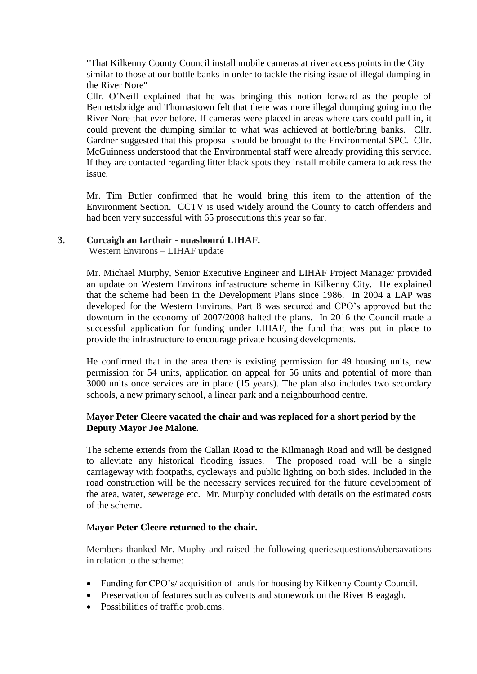"That Kilkenny County Council install mobile cameras at river access points in the City similar to those at our bottle banks in order to tackle the rising issue of illegal dumping in the River Nore"

Cllr. O'Neill explained that he was bringing this notion forward as the people of Bennettsbridge and Thomastown felt that there was more illegal dumping going into the River Nore that ever before. If cameras were placed in areas where cars could pull in, it could prevent the dumping similar to what was achieved at bottle/bring banks. Cllr. Gardner suggested that this proposal should be brought to the Environmental SPC. Cllr. McGuinness understood that the Environmental staff were already providing this service. If they are contacted regarding litter black spots they install mobile camera to address the issue.

Mr. Tim Butler confirmed that he would bring this item to the attention of the Environment Section. CCTV is used widely around the County to catch offenders and had been very successful with 65 prosecutions this year so far.

## **3. Corcaigh an Iarthair - nuashonrú LIHAF.**

Western Environs – LIHAF update

Mr. Michael Murphy, Senior Executive Engineer and LIHAF Project Manager provided an update on Western Environs infrastructure scheme in Kilkenny City. He explained that the scheme had been in the Development Plans since 1986. In 2004 a LAP was developed for the Western Environs, Part 8 was secured and CPO's approved but the downturn in the economy of 2007/2008 halted the plans. In 2016 the Council made a successful application for funding under LIHAF, the fund that was put in place to provide the infrastructure to encourage private housing developments.

He confirmed that in the area there is existing permission for 49 housing units, new permission for 54 units, application on appeal for 56 units and potential of more than 3000 units once services are in place (15 years). The plan also includes two secondary schools, a new primary school, a linear park and a neighbourhood centre.

# M**ayor Peter Cleere vacated the chair and was replaced for a short period by the Deputy Mayor Joe Malone.**

The scheme extends from the Callan Road to the Kilmanagh Road and will be designed to alleviate any historical flooding issues. The proposed road will be a single carriageway with footpaths, cycleways and public lighting on both sides. Included in the road construction will be the necessary services required for the future development of the area, water, sewerage etc. Mr. Murphy concluded with details on the estimated costs of the scheme.

## M**ayor Peter Cleere returned to the chair.**

Members thanked Mr. Muphy and raised the following queries/questions/obersavations in relation to the scheme:

- Funding for CPO's/ acquisition of lands for housing by Kilkenny County Council.
- Preservation of features such as culverts and stonework on the River Breagagh.
- Possibilities of traffic problems.